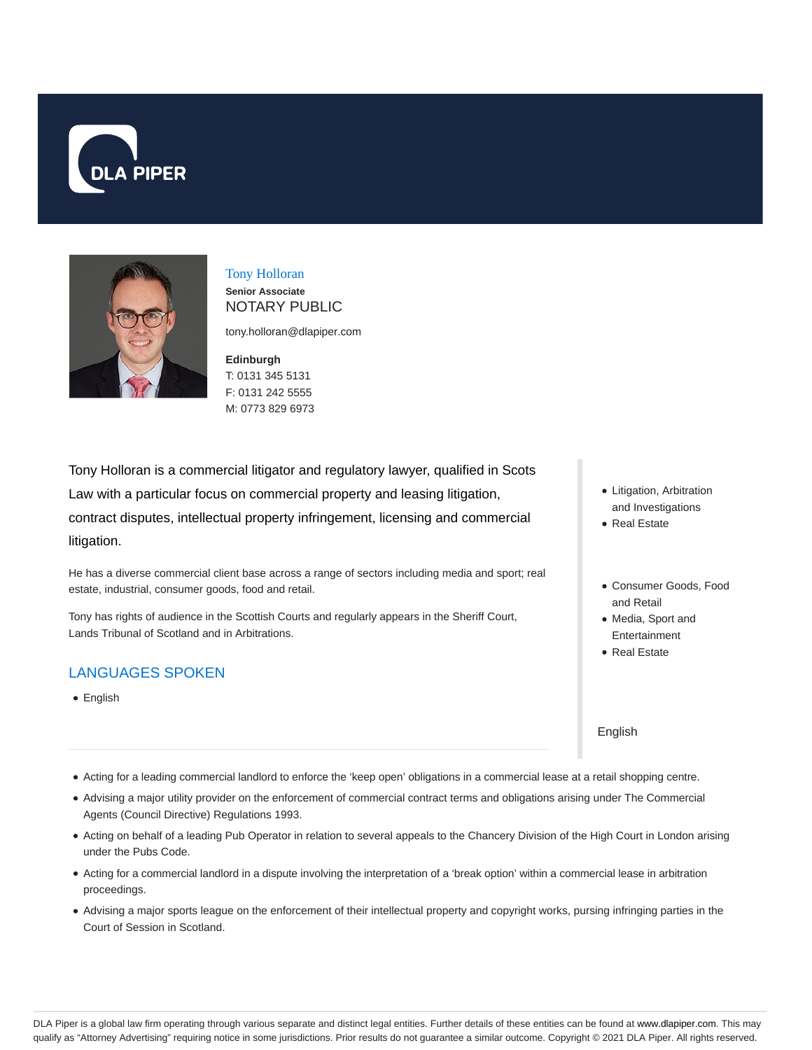



Tony Holloran **Senior Associate** NOTARY PUBLIC

tony.holloran@dlapiper.com

**Edinburgh** T: 0131 345 5131 F: 0131 242 5555 M: 0773 829 6973

Tony Holloran is a commercial litigator and regulatory lawyer, qualified in Scots Law with a particular focus on commercial property and leasing litigation, contract disputes, intellectual property infringement, licensing and commercial litigation.

He has a diverse commercial client base across a range of sectors including media and sport; real estate, industrial, consumer goods, food and retail.

Tony has rights of audience in the Scottish Courts and regularly appears in the Sheriff Court, Lands Tribunal of Scotland and in Arbitrations.

# LANGUAGES SPOKEN

• English

- Litigation, Arbitration and Investigations
- Real Estate
- Consumer Goods, Food and Retail
- Media, Sport and Entertainment
- Real Estate

English

- Acting for a leading commercial landlord to enforce the 'keep open' obligations in a commercial lease at a retail shopping centre.
- Advising a major utility provider on the enforcement of commercial contract terms and obligations arising under The Commercial Agents (Council Directive) Regulations 1993.
- Acting on behalf of a leading Pub Operator in relation to several appeals to the Chancery Division of the High Court in London arising under the Pubs Code.
- Acting for a commercial landlord in a dispute involving the interpretation of a 'break option' within a commercial lease in arbitration proceedings.
- Advising a major sports league on the enforcement of their intellectual property and copyright works, pursing infringing parties in the Court of Session in Scotland.